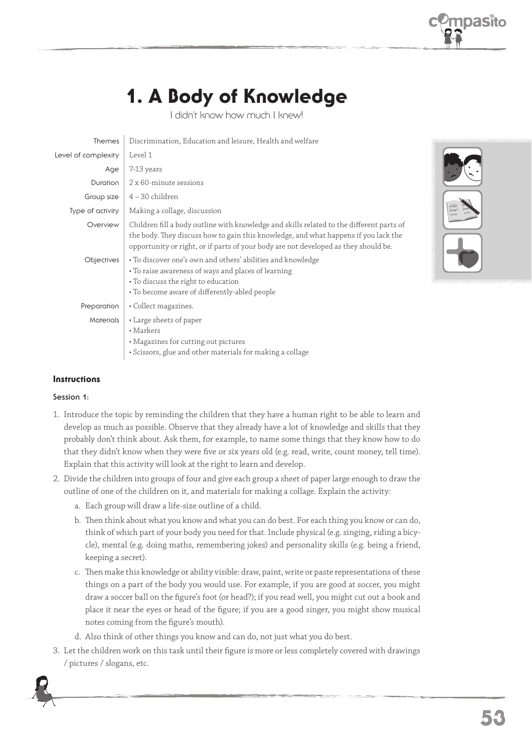

# 1. A Body of Knowledge

I didn't know how much I knew!

| Themes              | Discrimination, Education and leisure, Health and welfare                                                                                                                                                                                                              |
|---------------------|------------------------------------------------------------------------------------------------------------------------------------------------------------------------------------------------------------------------------------------------------------------------|
| Level of complexity | Level 1                                                                                                                                                                                                                                                                |
| Age                 | 7-13 years                                                                                                                                                                                                                                                             |
| Duration            | 2 x 60-minute sessions                                                                                                                                                                                                                                                 |
| Group size          | 4 – 30 children                                                                                                                                                                                                                                                        |
| Type of activity    | Making a collage, discussion                                                                                                                                                                                                                                           |
| Overview            | Children fill a body outline with knowledge and skills related to the different parts of<br>the body. They discuss how to gain this knowledge, and what happens if you lack the<br>opportunity or right, or if parts of your body are not developed as they should be. |
| Objectives          | • To discover one's own and others' abilities and knowledge<br>• To raise awareness of ways and places of learning<br>• To discuss the right to education<br>· To become aware of differently-abled people                                                             |
| Preparation         | • Collect magazines.                                                                                                                                                                                                                                                   |
| Materials           | • Large sheets of paper<br>• Markers<br>• Magazines for cutting out pictures<br>• Scissors, glue and other materials for making a collage                                                                                                                              |



#### **Session 1:**

- 1. Introduce the topic by reminding the children that they have a human right to be able to learn and develop as much as possible. Observe that they already have a lot of knowledge and skills that they probably don't think about. Ask them, for example, to name some things that they know how to do that they didn't know when they were five or six years old (e.g. read, write, count money, tell time). Explain that this activity will look at the right to learn and develop.
- 2. Divide the children into groups of four and give each group a sheet of paper large enough to draw the outline of one of the children on it, and materials for making a collage. Explain the activity:
	- a. Each group will draw a life-size outline of a child.
	- b. Then think about what you know and what you can do best. For each thing you know or can do, think of which part of your body you need for that. Include physical (e.g. singing, riding a bicycle), mental (e.g. doing maths, remembering jokes) and personality skills (e.g. being a friend, keeping a secret).
	- c. Then make this knowledge or ability visible: draw, paint, write or paste representations of these things on a part of the body you would use. For example, if you are good at soccer, you might draw a soccer ball on the figure's foot (or head?); if you read well, you might cut out a book and place it near the eyes or head of the figure; if you are a good singer, you might show musical notes coming from the figure's mouth).
	- d. Also think of other things you know and can do, not just what you do best.
- 3. Let the children work on this task until their figure is more or less completely covered with drawings / pictures / slogans, etc.



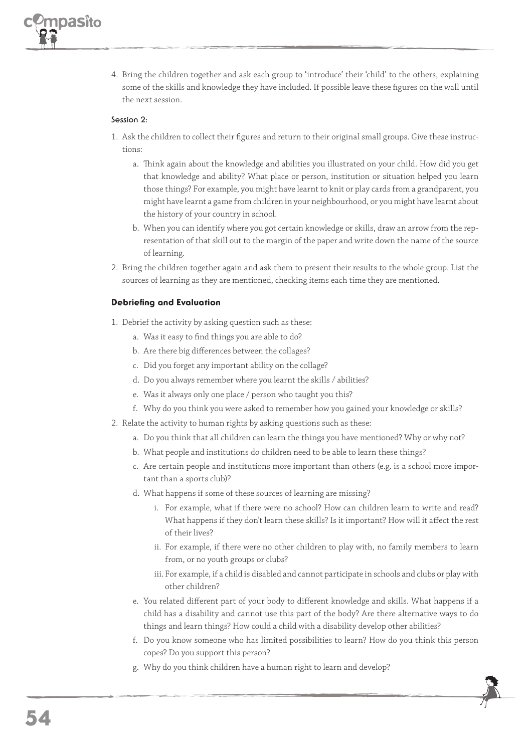4. Bring the children together and ask each group to 'introduce' their 'child' to the others, explaining some of the skills and knowledge they have included. If possible leave these figures on the wall until the next session.

## **Session 2:**

- 1. Ask the children to collect their figures and return to their original small groups. Give these instructions:
	- a. Think again about the knowledge and abilities you illustrated on your child. How did you get that knowledge and ability? What place or person, institution or situation helped you learn those things? For example, you might have learnt to knit or play cards from a grandparent, you might have learnt a game from children in your neighbourhood, or you might have learnt about the history of your country in school.
	- b. When you can identify where you got certain knowledge or skills, draw an arrow from the representation of that skill out to the margin of the paper and write down the name of the source of learning.
- 2. Bring the children together again and ask them to present their results to the whole group. List the sources of learning as they are mentioned, checking items each time they are mentioned.

## Debriefing and Evaluation

- 1. Debrief the activity by asking question such as these:
	- a. Was it easy to find things you are able to do?
	- b. Are there big differences between the collages?
	- c. Did you forget any important ability on the collage?
	- d. Do you always remember where you learnt the skills / abilities?
	- e. Was it always only one place / person who taught you this?
	- f. Why do you think you were asked to remember how you gained your knowledge or skills?
- 2. Relate the activity to human rights by asking questions such as these:
	- a. Do you think that all children can learn the things you have mentioned? Why or why not?
	- b. What people and institutions do children need to be able to learn these things?
	- c. Are certain people and institutions more important than others (e.g. is a school more important than a sports club)?
	- d. What happens if some of these sources of learning are missing?
		- i. For example, what if there were no school? How can children learn to write and read? What happens if they don't learn these skills? Is it important? How will it affect the rest of their lives?
		- ii. For example, if there were no other children to play with, no family members to learn from, or no youth groups or clubs?
		- iii. For example, if a child is disabled and cannot participate in schools and clubs or play with other children?
	- e. You related different part of your body to different knowledge and skills. What happens if a child has a disability and cannot use this part of the body? Are there alternative ways to do things and learn things? How could a child with a disability develop other abilities?
	- f. Do you know someone who has limited possibilities to learn? How do you think this person copes? Do you support this person?
	- g. Why do you think children have a human right to learn and develop?